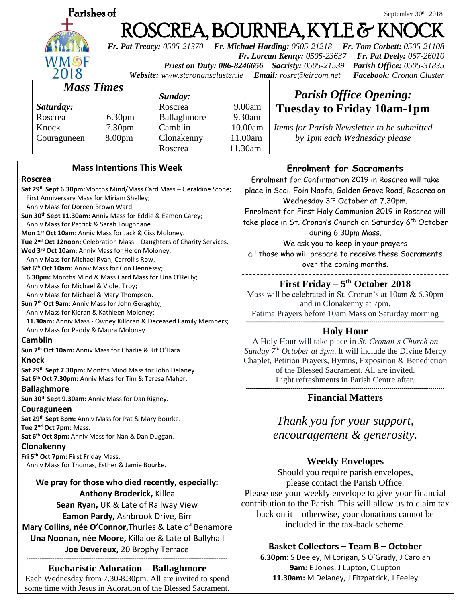| Parishes of<br>September 30th 2018                                                                                   |                    |                                                            |         |                                                                                    |                                                                                          |  |
|----------------------------------------------------------------------------------------------------------------------|--------------------|------------------------------------------------------------|---------|------------------------------------------------------------------------------------|------------------------------------------------------------------------------------------|--|
|                                                                                                                      |                    | Fr. Pat Treacy: 0505-21370 Fr. Michael Harding: 0505-21218 |         | ROSCREA, BOURNEA, KYLE & KNOC<br>Fr. Lorcan Kenny: 0505-23637                      | Fr. Tom Corbett: 0505-21108                                                              |  |
| WMSF<br>2018<br>Website: www.stcronanscluster.ie                                                                     |                    |                                                            |         | Priest on Duty: 086-8246656 Sacristy: 0505-21539<br><b>Email:</b> rosrc@eircom.net | Fr. Pat Deely: 067-26010<br><b>Parish Office: 0505-31835</b><br>Facebook: Cronan Cluster |  |
| <b>Mass Times</b>                                                                                                    |                    | Sunday:                                                    |         | <b>Parish Office Opening:</b>                                                      |                                                                                          |  |
| Saturday:                                                                                                            |                    | Roscrea                                                    | 9.00am  |                                                                                    | <b>Tuesday to Friday 10am-1pm</b>                                                        |  |
| Roscrea                                                                                                              | 6.30 <sub>pm</sub> | 9.30am<br>Ballaghmore                                      |         |                                                                                    |                                                                                          |  |
| Knock                                                                                                                | 7.30pm             | Camblin                                                    | 10.00am | Items for Parish Newsletter to be submitted                                        |                                                                                          |  |
| Couraguneen                                                                                                          | 8.00pm             | Clonakenny                                                 | 11.00am | by 1pm each Wednesday please                                                       |                                                                                          |  |
|                                                                                                                      |                    | Roscrea                                                    | 11.30am |                                                                                    |                                                                                          |  |
| <b>Mass Intentions This Week</b>                                                                                     |                    |                                                            |         | <b>Enrolment for Sacraments</b>                                                    |                                                                                          |  |
| Roscrea                                                                                                              |                    |                                                            |         | Enrolment for Confirmation 2019 in Roscrea will take                               |                                                                                          |  |
| Sat 29 <sup>th</sup> Sept 6.30pm:Months Mind/Mass Card Mass - Geraldine Stone;                                       |                    |                                                            |         | place in Scoil Eoin Naofa, Golden Grove Road, Roscrea on                           |                                                                                          |  |
| First Anniversary Mass for Miriam Shelley;                                                                           |                    |                                                            |         | Wednesday 3rd October at 7.30pm.                                                   |                                                                                          |  |
| Anniy Mass for Doreen Brown Ward.                                                                                    |                    |                                                            |         | Enrolment for First Holy Communion 2019 in Roscrea will                            |                                                                                          |  |
| Sun 30 <sup>th</sup> Sept 11.30am: Anniv Mass for Eddie & Eamon Carey;                                               |                    |                                                            |         | take place in St. Cronan's Church on Saturday 6 <sup>th</sup> October              |                                                                                          |  |
| Anniv Mass for Patrick & Sarah Loughnane.<br>Mon 1 <sup>st</sup> Oct 10am: Anniv Mass for Jack & Ciss Moloney.       |                    |                                                            |         | during 6.30pm Mass.                                                                |                                                                                          |  |
| Tue 2 <sup>nd</sup> Oct 12noon: Celebration Mass - Daughters of Charity Services.                                    |                    |                                                            |         | We ask you to keep in your prayers                                                 |                                                                                          |  |
| Wed 3rd Oct 10am: Anniv Mass for Helen Moloney;                                                                      |                    |                                                            |         | all those who will prepare to receive these Sacraments                             |                                                                                          |  |
| Anniv Mass for Michael Ryan, Carroll's Row.                                                                          |                    |                                                            |         | over the coming months.                                                            |                                                                                          |  |
| Sat 6 <sup>th</sup> Oct 10am: Anniv Mass for Con Hennessy;<br>6.30pm: Months Mind & Mass Card Mass for Una O'Reilly; |                    |                                                            |         |                                                                                    |                                                                                          |  |
| Anniv Mass for Michael & Violet Troy;                                                                                |                    |                                                            |         | First Friday $-5th$ October 2018                                                   |                                                                                          |  |
| Anniv Mass for Michael & Mary Thompson.                                                                              |                    |                                                            |         | Mass will be celebrated in St. Cronan's at 10am & 6.30pm                           |                                                                                          |  |
| Sun 7 <sup>th</sup> Oct 9am: Anniv Mass for John Geraghty;                                                           |                    |                                                            |         | and in Clonakenny at 7pm.                                                          |                                                                                          |  |
| Anniv Mass for Kieran & Kathleen Moloney;<br>11.30am: Anniv Mass - Owney Killoran & Deceased Family Members;         |                    |                                                            |         | Fatima Prayers before 10am Mass on Saturday morning                                |                                                                                          |  |
| Anniv Mass for Paddy & Maura Moloney.                                                                                |                    |                                                            |         | <b>Holy Hour</b>                                                                   |                                                                                          |  |
| Camblin                                                                                                              |                    |                                                            |         | A Holy Hour will take place in St. Cronan's Church on                              |                                                                                          |  |
| Sun 7 <sup>th</sup> Oct 10am: Anniv Mass for Charlie & Kit O'Hara.                                                   |                    |                                                            |         | Sunday $7th October at 3pm$ . It will include the Divine Mercy                     |                                                                                          |  |
| Knock                                                                                                                |                    |                                                            |         | Chaplet, Petition Prayers, Hymns, Exposition & Benediction                         |                                                                                          |  |
| Sat 29 <sup>th</sup> Sept 7.30pm: Months Mind Mass for John Delaney.                                                 |                    |                                                            |         | of the Blessed Sacrament. All are invited.                                         |                                                                                          |  |
| Sat 6 <sup>th</sup> Oct 7.30pm: Anniv Mass for Tim & Teresa Maher.                                                   |                    |                                                            |         | Light refreshments in Parish Centre after.                                         |                                                                                          |  |
| <b>Ballaghmore</b>                                                                                                   |                    |                                                            |         | <b>Financial Matters</b>                                                           |                                                                                          |  |
| Sun 30 <sup>th</sup> Sept 9.30am: Anniv Mass for Dan Rigney.<br>Couraguneen                                          |                    |                                                            |         |                                                                                    |                                                                                          |  |
| Sat 29 <sup>th</sup> Sept 8pm: Anniv Mass for Pat & Mary Bourke.                                                     |                    |                                                            |         |                                                                                    |                                                                                          |  |
| Tue 2 <sup>nd</sup> Oct 7pm: Mass.                                                                                   |                    |                                                            |         | Thank you for your support,                                                        |                                                                                          |  |
| Sat 6 <sup>th</sup> Oct 8pm: Anniv Mass for Nan & Dan Duggan.                                                        |                    |                                                            |         | encouragement & generosity.                                                        |                                                                                          |  |
| <b>Clonakenny</b>                                                                                                    |                    |                                                            |         |                                                                                    |                                                                                          |  |
| Fri 5 <sup>th</sup> Oct 7pm: First Friday Mass;<br>Anniv Mass for Thomas, Esther & Jamie Bourke.                     |                    |                                                            |         | <b>Weekly Envelopes</b>                                                            |                                                                                          |  |
|                                                                                                                      |                    |                                                            |         | Should you require parish envelopes,                                               |                                                                                          |  |
| We pray for those who died recently, especially:                                                                     |                    |                                                            |         | please contact the Parish Office.                                                  |                                                                                          |  |
| <b>Anthony Broderick, Killea</b>                                                                                     |                    |                                                            |         | Please use your weekly envelope to give your financial                             |                                                                                          |  |
| Sean Ryan, UK & Late of Railway View                                                                                 |                    |                                                            |         | contribution to the Parish. This will allow us to claim tax                        |                                                                                          |  |
| Eamon Pardy, Ashbrook Drive, Birr                                                                                    |                    |                                                            |         | back on it – otherwise, your donations cannot be                                   |                                                                                          |  |
| Mary Collins, née O'Connor, Thurles & Late of Benamore                                                               |                    |                                                            |         | included in the tax-back scheme.                                                   |                                                                                          |  |
| Una Noonan, née Moore, Killaloe & Late of Ballyhall                                                                  |                    |                                                            |         |                                                                                    |                                                                                          |  |
| Joe Devereux, 20 Brophy Terrace                                                                                      |                    |                                                            |         | <b>Basket Collectors - Team B - October</b>                                        |                                                                                          |  |
|                                                                                                                      |                    |                                                            |         | 6.30pm: S Deeley, M Lorigan, S O'Grady, J Carolan                                  |                                                                                          |  |
| <b>Eucharistic Adoration - Ballaghmore</b>                                                                           |                    |                                                            |         | 9am: E Jones, J Lupton, C Lupton                                                   |                                                                                          |  |

Each Wednesday from 7.30-8.30pm. All are invited to spend some time with Jesus in Adoration of the Blessed Sacrament.

**9am:** E Jones, J Lupton, C Lupton **11.30am:** M Delaney, J Fitzpatrick, J Feeley